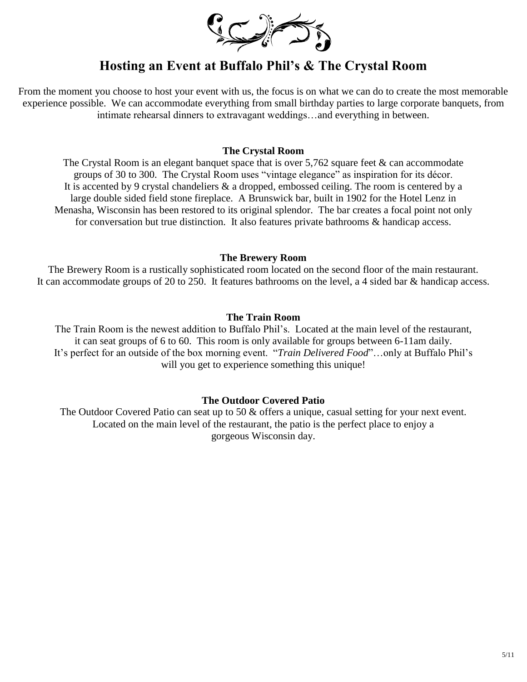

# **Hosting an Event at Buffalo Phil's & The Crystal Room**

From the moment you choose to host your event with us, the focus is on what we can do to create the most memorable experience possible. We can accommodate everything from small birthday parties to large corporate banquets, from intimate rehearsal dinners to extravagant weddings…and everything in between.

# **The Crystal Room**

The Crystal Room is an elegant banquet space that is over  $5,762$  square feet  $&$  can accommodate groups of 30 to 300. The Crystal Room uses "vintage elegance" as inspiration for its décor. It is accented by 9 crystal chandeliers & a dropped, embossed ceiling. The room is centered by a large double sided field stone fireplace. A Brunswick bar, built in 1902 for the Hotel Lenz in Menasha, Wisconsin has been restored to its original splendor. The bar creates a focal point not only for conversation but true distinction. It also features private bathrooms & handicap access.

### **The Brewery Room**

The Brewery Room is a rustically sophisticated room located on the second floor of the main restaurant. It can accommodate groups of 20 to 250. It features bathrooms on the level, a 4 sided bar & handicap access.

# **The Train Room**

The Train Room is the newest addition to Buffalo Phil's. Located at the main level of the restaurant, it can seat groups of 6 to 60. This room is only available for groups between 6-11am daily. It's perfect for an outside of the box morning event. "*Train Delivered Food*"…only at Buffalo Phil's will you get to experience something this unique!

# **The Outdoor Covered Patio**

The Outdoor Covered Patio can seat up to 50  $\&$  offers a unique, casual setting for your next event. Located on the main level of the restaurant, the patio is the perfect place to enjoy a gorgeous Wisconsin day.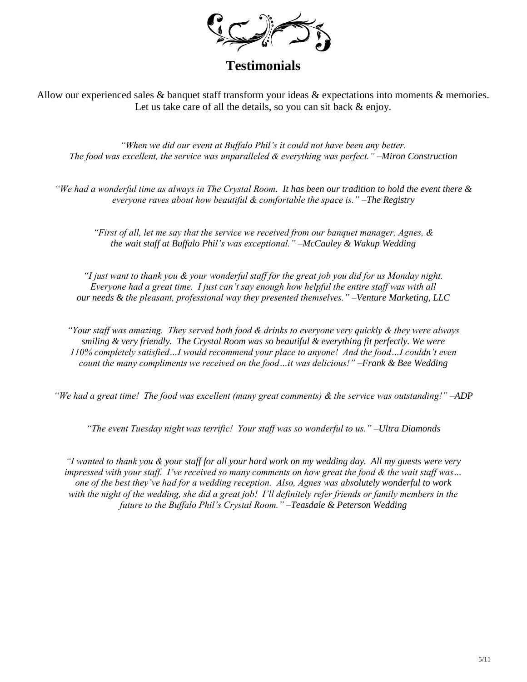

**Testimonials**

Allow our experienced sales & banquet staff transform your ideas & expectations into moments & memories. Let us take care of all the details, so you can sit back  $\&$  enjoy.

*"When we did our event at Buffalo Phil's it could not have been any better. The food was excellent, the service was unparalleled & everything was perfect." –Miron Construction*

*"We had a wonderful time as always in The Crystal Room. It has been our tradition to hold the event there & everyone raves about how beautiful & comfortable the space is." –The Registry*

*"First of all, let me say that the service we received from our banquet manager, Agnes, & the wait staff at Buffalo Phil's was exceptional." –McCauley & Wakup Wedding*

*"I just want to thank you & your wonderful staff for the great job you did for us Monday night. Everyone had a great time. I just can't say enough how helpful the entire staff was with all our needs & the pleasant, professional way they presented themselves." –Venture Marketing, LLC*

*"Your staff was amazing. They served both food & drinks to everyone very quickly & they were always smiling & very friendly. The Crystal Room was so beautiful & everything fit perfectly. We were 110% completely satisfied…I would recommend your place to anyone! And the food…I couldn't even count the many compliments we received on the food…it was delicious!" –Frank & Bee Wedding*

*"We had a great time! The food was excellent (many great comments) & the service was outstanding!" –ADP*

*"The event Tuesday night was terrific! Your staff was so wonderful to us." –Ultra Diamonds*

*"I wanted to thank you & your staff for all your hard work on my wedding day. All my guests were very impressed with your staff. I've received so many comments on how great the food & the wait staff was… one of the best they've had for a wedding reception. Also, Agnes was absolutely wonderful to work with the night of the wedding, she did a great job! I'll definitely refer friends or family members in the future to the Buffalo Phil's Crystal Room." –Teasdale & Peterson Wedding*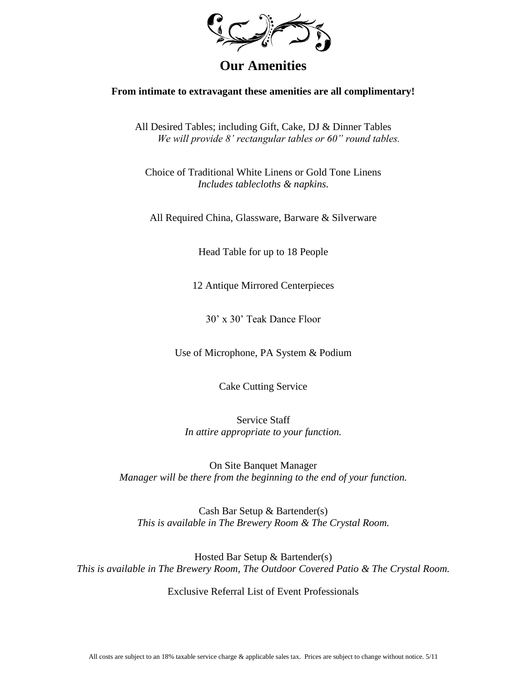

# **Our Amenities**

### **From intimate to extravagant these amenities are all complimentary!**

All Desired Tables; including Gift, Cake, DJ & Dinner Tables *We will provide 8' rectangular tables or 60" round tables.*

Choice of Traditional White Linens or Gold Tone Linens *Includes tablecloths & napkins.*

All Required China, Glassware, Barware & Silverware

Head Table for up to 18 People

12 Antique Mirrored Centerpieces

30' x 30' Teak Dance Floor

Use of Microphone, PA System & Podium

Cake Cutting Service

Service Staff *In attire appropriate to your function.*

On Site Banquet Manager *Manager will be there from the beginning to the end of your function.*

Cash Bar Setup & Bartender(s) *This is available in The Brewery Room & The Crystal Room.* 

Hosted Bar Setup & Bartender(s) *This is available in The Brewery Room, The Outdoor Covered Patio & The Crystal Room.* 

Exclusive Referral List of Event Professionals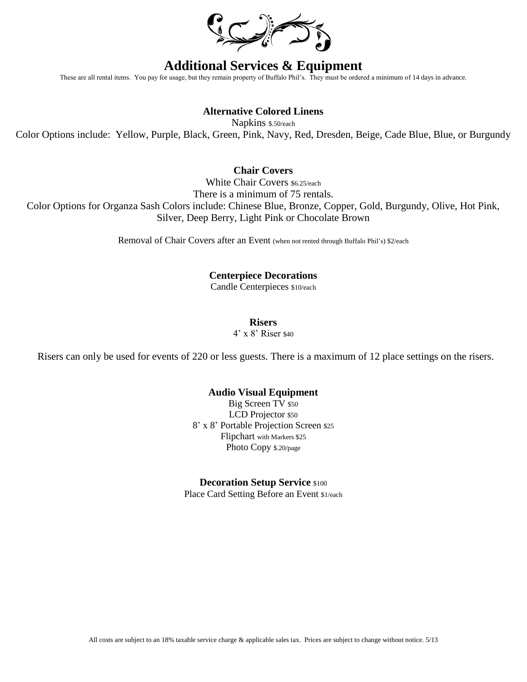

# **Additional Services & Equipment**

These are all rental items. You pay for usage, but they remain property of Buffalo Phil's. They must be ordered a minimum of 14 days in advance.

# **Alternative Colored Linens**

Napkins \$.50/each Color Options include: Yellow, Purple, Black, Green, Pink, Navy, Red, Dresden, Beige, Cade Blue, Blue, or Burgundy

# **Chair Covers**

White Chair Covers \$6.25/each There is a minimum of 75 rentals. Color Options for Organza Sash Colors include: Chinese Blue, Bronze, Copper, Gold, Burgundy, Olive, Hot Pink, Silver, Deep Berry, Light Pink or Chocolate Brown

Removal of Chair Covers after an Event (when not rented through Buffalo Phil's) \$2/each

# **Centerpiece Decorations**

Candle Centerpieces \$10/each

**Risers**

4' x 8' Riser \$40

Risers can only be used for events of 220 or less guests. There is a maximum of 12 place settings on the risers.

### **Audio Visual Equipment**

Big Screen TV \$50 LCD Projector \$50 8' x 8' Portable Projection Screen \$25 Flipchart with Markers \$25 Photo Copy \$.20/page

### **Decoration Setup Service** \$100

Place Card Setting Before an Event \$1/each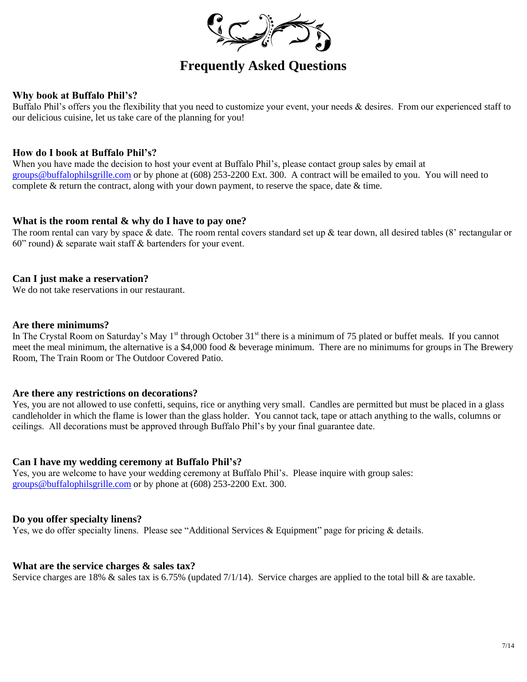

# **Frequently Asked Questions**

# **Why book at Buffalo Phil's?**

Buffalo Phil's offers you the flexibility that you need to customize your event, your needs & desires. From our experienced staff to our delicious cuisine, let us take care of the planning for you!

### **How do I book at Buffalo Phil's?**

When you have made the decision to host your event at Buffalo Phil's, please contact group sales by email at [groups@buffalophilsgrille.com](mailto:groups@buffalophilsgrille.com) or by phone at (608) 253-2200 Ext. 300. A contract will be emailed to you. You will need to complete  $\&$  return the contract, along with your down payment, to reserve the space, date  $\&$  time.

### **What is the room rental & why do I have to pay one?**

The room rental can vary by space & date. The room rental covers standard set up & tear down, all desired tables (8' rectangular or 60" round)  $\&$  separate wait staff  $\&$  bartenders for your event.

### **Can I just make a reservation?**

We do not take reservations in our restaurant.

### **Are there minimums?**

In The Crystal Room on Saturday's May 1<sup>st</sup> through October 31<sup>st</sup> there is a minimum of 75 plated or buffet meals. If you cannot meet the meal minimum, the alternative is a \$4,000 food & beverage minimum. There are no minimums for groups in The Brewery Room, The Train Room or The Outdoor Covered Patio.

### **Are there any restrictions on decorations?**

Yes, you are not allowed to use confetti, sequins, rice or anything very small. Candles are permitted but must be placed in a glass candleholder in which the flame is lower than the glass holder. You cannot tack, tape or attach anything to the walls, columns or ceilings. All decorations must be approved through Buffalo Phil's by your final guarantee date.

### **Can I have my wedding ceremony at Buffalo Phil's?**

Yes, you are welcome to have your wedding ceremony at Buffalo Phil's. Please inquire with group sales: [groups@buffalophilsgrille.com](mailto:groups@buffalophilsgrille.com) or by phone at (608) 253-2200 Ext. 300.

# **Do you offer specialty linens?**

Yes, we do offer specialty linens. Please see "Additional Services & Equipment" page for pricing & details.

### **What are the service charges & sales tax?**

Service charges are 18%  $\&$  sales tax is 6.75% (updated 7/1/14). Service charges are applied to the total bill  $\&$  are taxable.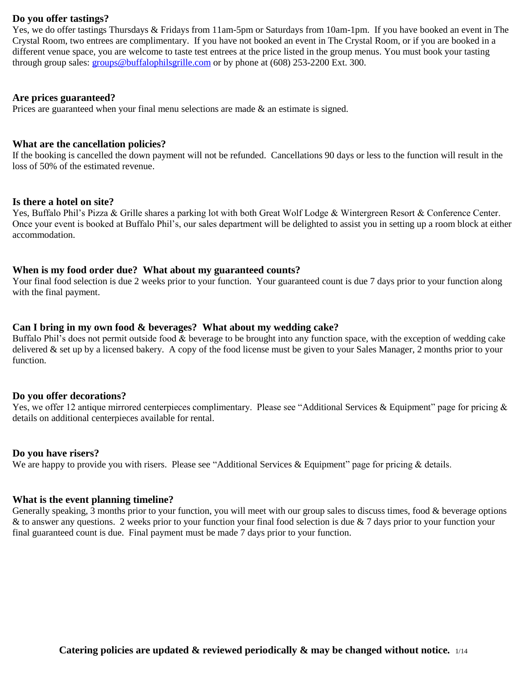### **Do you offer tastings?**

Yes, we do offer tastings Thursdays & Fridays from 11am-5pm or Saturdays from 10am-1pm. If you have booked an event in The Crystal Room, two entrees are complimentary. If you have not booked an event in The Crystal Room, or if you are booked in a different venue space, you are welcome to taste test entrees at the price listed in the group menus. You must book your tasting through group sales: [groups@buffalophilsgrille.com](mailto:groups@buffalophilsgrille.com) or by phone at (608) 253-2200 Ext. 300.

### **Are prices guaranteed?**

Prices are guaranteed when your final menu selections are made  $\&$  an estimate is signed.

### **What are the cancellation policies?**

If the booking is cancelled the down payment will not be refunded. Cancellations 90 days or less to the function will result in the loss of 50% of the estimated revenue.

#### **Is there a hotel on site?**

Yes, Buffalo Phil's Pizza & Grille shares a parking lot with both Great Wolf Lodge & Wintergreen Resort & Conference Center. Once your event is booked at Buffalo Phil's, our sales department will be delighted to assist you in setting up a room block at either accommodation.

### **When is my food order due? What about my guaranteed counts?**

Your final food selection is due 2 weeks prior to your function. Your guaranteed count is due 7 days prior to your function along with the final payment.

### **Can I bring in my own food & beverages? What about my wedding cake?**

Buffalo Phil's does not permit outside food & beverage to be brought into any function space, with the exception of wedding cake delivered & set up by a licensed bakery. A copy of the food license must be given to your Sales Manager, 2 months prior to your function.

### **Do you offer decorations?**

Yes, we offer 12 antique mirrored centerpieces complimentary. Please see "Additional Services & Equipment" page for pricing & details on additional centerpieces available for rental.

#### **Do you have risers?**

We are happy to provide you with risers. Please see "Additional Services & Equipment" page for pricing & details.

### **What is the event planning timeline?**

Generally speaking, 3 months prior to your function, you will meet with our group sales to discuss times, food & beverage options & to answer any questions. 2 weeks prior to your function your final food selection is due & 7 days prior to your function your final guaranteed count is due. Final payment must be made 7 days prior to your function.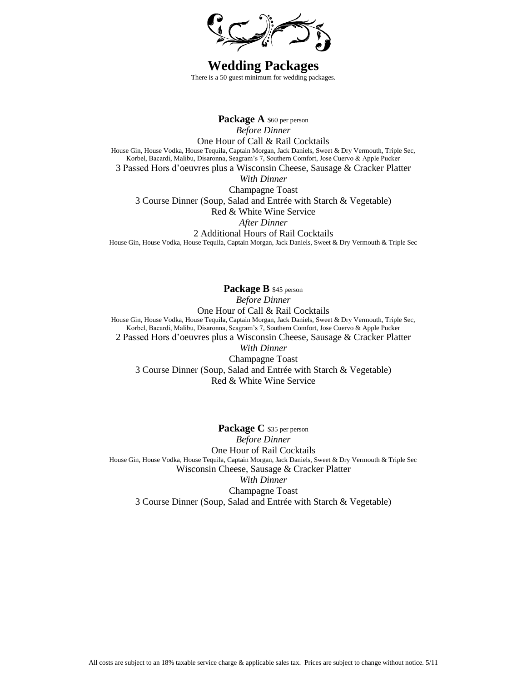

**Wedding Packages** There is a 50 guest minimum for wedding packages.

Package A \$60 per person *Before Dinner* One Hour of Call & Rail Cocktails House Gin, House Vodka, House Tequila, Captain Morgan, Jack Daniels, Sweet & Dry Vermouth, Triple Sec, Korbel, Bacardi, Malibu, Disaronna, Seagram's 7, Southern Comfort, Jose Cuervo & Apple Pucker 3 Passed Hors d'oeuvres plus a Wisconsin Cheese, Sausage & Cracker Platter *With Dinner* Champagne Toast 3 Course Dinner (Soup, Salad and Entrée with Starch & Vegetable) Red & White Wine Service *After Dinner* 2 Additional Hours of Rail Cocktails House Gin, House Vodka, House Tequila, Captain Morgan, Jack Daniels, Sweet & Dry Vermouth & Triple Sec

**Package B** \$45 person *Before Dinner* One Hour of Call & Rail Cocktails House Gin, House Vodka, House Tequila, Captain Morgan, Jack Daniels, Sweet & Dry Vermouth, Triple Sec, Korbel, Bacardi, Malibu, Disaronna, Seagram's 7, Southern Comfort, Jose Cuervo & Apple Pucker 2 Passed Hors d'oeuvres plus a Wisconsin Cheese, Sausage & Cracker Platter *With Dinner* Champagne Toast 3 Course Dinner (Soup, Salad and Entrée with Starch & Vegetable) Red & White Wine Service

Package C \$35 per person *Before Dinner* One Hour of Rail Cocktails House Gin, House Vodka, House Tequila, Captain Morgan, Jack Daniels, Sweet & Dry Vermouth & Triple Sec Wisconsin Cheese, Sausage & Cracker Platter *With Dinner* Champagne Toast 3 Course Dinner (Soup, Salad and Entrée with Starch & Vegetable)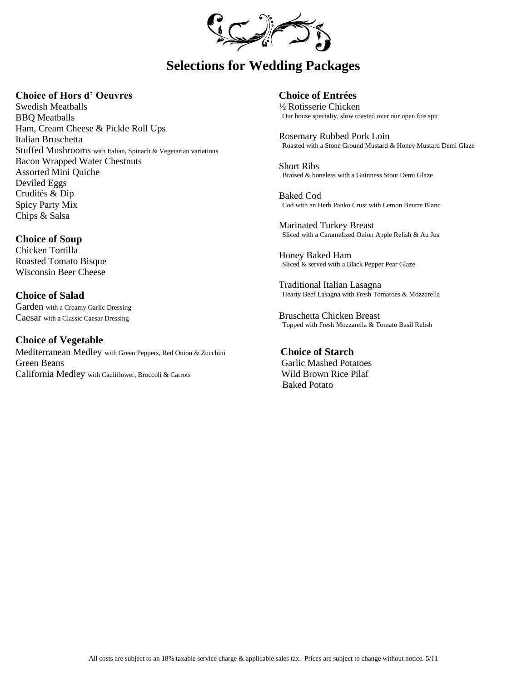

# **Selections for Wedding Packages**

### **Choice of Hors d' Oeuvres**

Swedish Meatballs BBQ Meatballs Ham, Cream Cheese & Pickle Roll Ups Italian Bruschetta Stuffed Mushrooms with Italian, Spinach & Vegetarian variations Bacon Wrapped Water Chestnuts Assorted Mini Quiche Deviled Eggs Crudités & Dip Spicy Party Mix Chips & Salsa

### **Choice of Soup**

Chicken Tortilla Roasted Tomato Bisque Wisconsin Beer Cheese

**Choice of Salad** Garden with a Creamy Garlic Dressing Caesar with a Classic Caesar Dressing

**Choice of Vegetable**  Mediterranean Medley with Green Peppers, Red Onion & Zucchini **Choice of Starch** Green Beans Garlic Mashed Potatoes California Medley with Cauliflower, Broccoli & Carrots Wild Brown Rice Pilaf

**Choice of Entrées**

½ Rotisserie Chicken Our house specialty, slow roasted over our open fire spit

Rosemary Rubbed Pork Loin Roasted with a Stone Ground Mustard & Honey Mustard Demi Glaze

Short Ribs Braised & boneless with a Guinness Stout Demi Glaze

Baked Cod Cod with an Herb Panko Crust with Lemon Beurre Blanc

Marinated Turkey Breast Sliced with a Caramelized Onion Apple Relish & Au Jus

Honey Baked Ham Sliced & served with a Black Pepper Pear Glaze

Traditional Italian Lasagna Hearty Beef Lasagna with Fresh Tomatoes & Mozzarella

Bruschetta Chicken Breast Topped with Fresh Mozzarella & Tomato Basil Relish

Baked Potato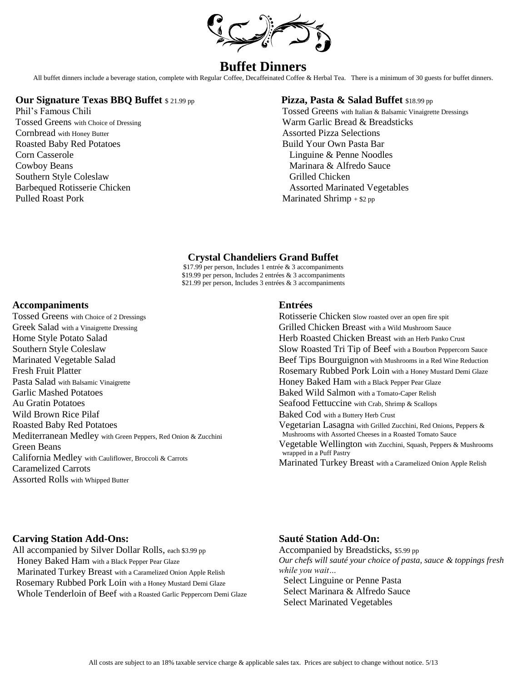

# **Buffet Dinners**

All buffet dinners include a beverage station, complete with Regular Coffee, Decaffeinated Coffee & Herbal Tea. There is a minimum of 30 guests for buffet dinners.

### **Our Signature Texas BBQ Buffet** \$ 21.99 pp **Pizza, Pasta & Salad Buffet** \$18.99 pp

Cornbread with Honey Butter **Assorted Pizza Selections** Roasted Baby Red Potatoes and Build Your Own Pasta Bar Corn Casserole Linguine & Penne Noodles Cowboy Beans<br>
Southern Style Coleslaw<br>
Southern Style Coleslaw<br>
Grilled Chicken Southern Style Coleslaw Pulled Roast Pork Marinated Shrimp + \$2 pp

Phil's Famous Chili Tossed Greens with Italian & Balsamic Vinaigrette Dressings Tossed Greens with Choice of Dressing Warm Garlic Bread & Breadsticks Barbequed Rotisserie Chicken Assorted Marinated Vegetables

### **Crystal Chandeliers Grand Buffet**

\$17.99 per person, Includes 1 entrée & 3 accompaniments \$19.99 per person, Includes 2 entrées & 3 accompaniments \$21.99 per person, Includes 3 entrées & 3 accompaniments

### **Accompaniments**

Tossed Greens with Choice of 2 Dressings Greek Salad with a Vinaigrette Dressing Home Style Potato Salad Southern Style Coleslaw Marinated Vegetable Salad Fresh Fruit Platter Pasta Salad with Balsamic Vinaigrette Garlic Mashed Potatoes Au Gratin Potatoes Wild Brown Rice Pilaf Roasted Baby Red Potatoes Mediterranean Medley with Green Peppers, Red Onion & Zucchini Green Beans California Medley with Cauliflower, Broccoli & Carrots Caramelized Carrots Assorted Rolls with Whipped Butter

### **Entrées**

Rotisserie Chicken slow roasted over an open fire spit Grilled Chicken Breast with a Wild Mushroom Sauce Herb Roasted Chicken Breast with an Herb Panko Crust Slow Roasted Tri Tip of Beef with a Bourbon Peppercorn Sauce Beef Tips Bourguignon with Mushrooms in a Red Wine Reduction Rosemary Rubbed Pork Loin with a Honey Mustard Demi Glaze Honey Baked Ham with a Black Pepper Pear Glaze Baked Wild Salmon with a Tomato-Caper Relish Seafood Fettuccine with Crab, Shrimp & Scallops Baked Cod with a Buttery Herb Crust Vegetarian Lasagna with Grilled Zucchini, Red Onions, Peppers & Mushrooms with Assorted Cheeses in a Roasted Tomato Sauce Vegetable Wellington with Zucchini, Squash, Peppers & Mushrooms wrapped in a Puff Pastry Marinated Turkey Breast with a Caramelized Onion Apple Relish

### **Carving Station Add-Ons:**

All accompanied by Silver Dollar Rolls, each \$3.99 pp Honey Baked Ham with a Black Pepper Pear Glaze Marinated Turkey Breast with a Caramelized Onion Apple Relish Rosemary Rubbed Pork Loin with a Honey Mustard Demi Glaze Whole Tenderloin of Beef with a Roasted Garlic Peppercorn Demi Glaze

#### **Sauté Station Add-On:**

Accompanied by Breadsticks, \$5.99 pp *Our chefs will sauté your choice of pasta, sauce & toppings fresh while you wait…* Select Linguine or Penne Pasta

 Select Marinara & Alfredo Sauce Select Marinated Vegetables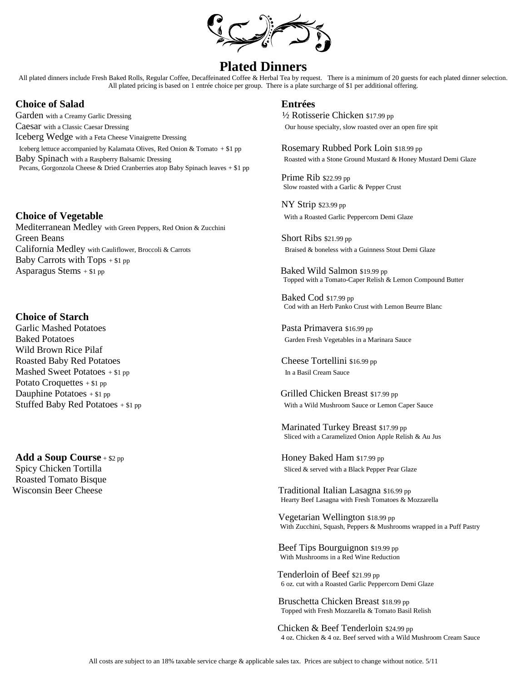

# **Plated Dinners**

All plated dinners include Fresh Baked Rolls, Regular Coffee, Decaffeinated Coffee & Herbal Tea by request. There is a minimum of 20 guests for each plated dinner selection. All plated pricing is based on 1 entrée choice per group. There is a plate surcharge of \$1 per additional offering.

# **Choice of Salad Entrées**

Garden with a Creamy Garlic Dressing  $\frac{1}{2}$  Rotisserie Chicken \$17.99 pp Caesar with a Classic Caesar Dressing **Caesar Caesar Dressing** Our house specialty, slow roasted over an open fire spit Iceberg Wedge with a Feta Cheese Vinaigrette Dressing Iceberg lettuce accompanied by Kalamata Olives, Red Onion & Tomato + \$1 pp ROSEMAry Rubbed Pork Loin \$18.99 pp Baby Spinach with a Raspberry Balsamic Dressing **Roasted With a Stone Ground Mustard & Honey Mustard Demi Glaze** Pecans, Gorgonzola Cheese & Dried Cranberries atop Baby Spinach leaves + \$1 pp

### **Choice of Vegetable Choice of Vegetable Choice is a Roasted Garlic Peppercorn Demi Glaze** Mediterranean Medley with Green Peppers, Red Onion & Zucchini Green Beans Short Ribs \$21.99 pp California Medley with Cauliflower, Broccoli & Carrots Braised & boneless with a Guinness Stout Demi Glaze Baby Carrots with Tops  $+ $1$  pp Asparagus Stems + \$1 pp Baked Wild Salmon \$19.99 pp

### **Choice of Starch**

Garlic Mashed Potatoes **Pasta Primavera \$16.99 pp** Pasta Primavera \$16.99 pp Wild Brown Rice Pilaf Roasted Baby Red Potatoes Cheese Tortellini \$16.99 pp Mashed Sweet Potatoes + \$1 pp In a Basil Cream Sauce In a Basil Cream Sauce Potato Croquettes + \$1 pp Dauphine Potatoes + \$1 pp Grilled Chicken Breast \$17.99 pp

**Add a Soup Course** + \$2 pp **Honey Baked Ham \$17.99 pp** Honey Baked Ham \$17.99 pp Roasted Tomato Bisque

Prime Rib \$22.99 pp Slow roasted with a Garlic & Pepper Crust

NY Strip \$23.99 pp

Topped with a Tomato-Caper Relish & Lemon Compound Butter

Baked Cod \$17.99 pp Cod with an Herb Panko Crust with Lemon Beurre Blanc

Baked Potatoes Garden Fresh Vegetables in a Marinara Sauce

Stuffed Baby Red Potatoes + \$1 pp With a Wild Mushroom Sauce or Lemon Caper Sauce

 Marinated Turkey Breast \$17.99 pp Sliced with a Caramelized Onion Apple Relish & Au Jus

Spicy Chicken Tortilla Sliced & served with a Black Pepper Pear Glaze

Wisconsin Beer Cheese Traditional Italian Lasagna \$16.99 pp Hearty Beef Lasagna with Fresh Tomatoes & Mozzarella

> Vegetarian Wellington \$18.99 pp With Zucchini, Squash, Peppers & Mushrooms wrapped in a Puff Pastry

 Beef Tips Bourguignon \$19.99 pp With Mushrooms in a Red Wine Reduction

Tenderloin of Beef \$21.99 pp 6 oz. cut with a Roasted Garlic Peppercorn Demi Glaze

Bruschetta Chicken Breast \$18.99 pp Topped with Fresh Mozzarella & Tomato Basil Relish

 Chicken & Beef Tenderloin \$24.99 pp 4 oz. Chicken & 4 oz. Beef served with a Wild Mushroom Cream Sauce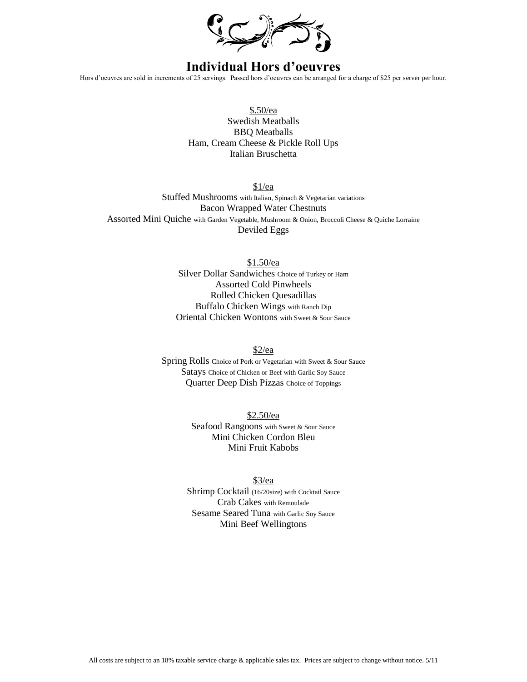

# **Individual Hors d'oeuvres**

Hors d'oeuvres are sold in increments of 25 servings. Passed hors d'oeuvres can be arranged for a charge of \$25 per server per hour.

\$.50/ea Swedish Meatballs BBQ Meatballs Ham, Cream Cheese & Pickle Roll Ups Italian Bruschetta

\$1/ea Stuffed Mushrooms with Italian, Spinach & Vegetarian variations Bacon Wrapped Water Chestnuts Assorted Mini Quiche with Garden Vegetable, Mushroom & Onion, Broccoli Cheese & Quiche Lorraine Deviled Eggs

> \$1.50/ea Silver Dollar Sandwiches Choice of Turkey or Ham Assorted Cold Pinwheels Rolled Chicken Quesadillas Buffalo Chicken Wings with Ranch Dip Oriental Chicken Wontons with Sweet & Sour Sauce

> > $$2/ea$

Spring Rolls Choice of Pork or Vegetarian with Sweet & Sour Sauce Satays Choice of Chicken or Beef with Garlic Soy Sauce Quarter Deep Dish Pizzas Choice of Toppings

> \$2.50/ea Seafood Rangoons with Sweet & Sour Sauce Mini Chicken Cordon Bleu Mini Fruit Kabobs

\$3/ea Shrimp Cocktail (16/20size) with Cocktail Sauce Crab Cakes with Remoulade Sesame Seared Tuna with Garlic Soy Sauce Mini Beef Wellingtons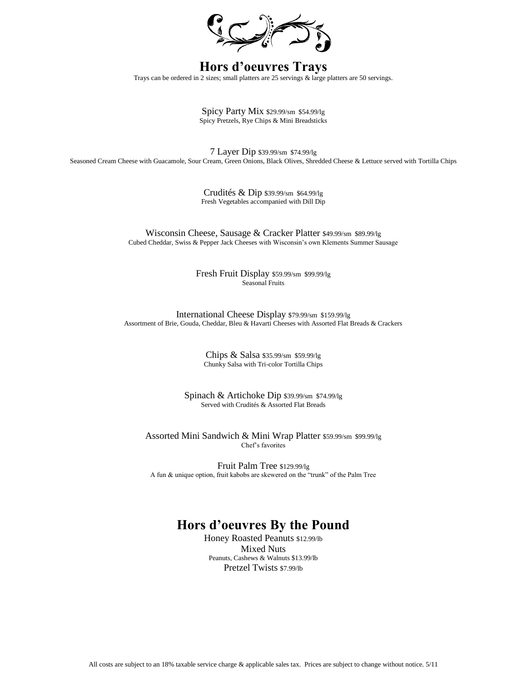

# **Hors d'oeuvres Trays**

Trays can be ordered in 2 sizes; small platters are 25 servings & large platters are 50 servings.

Spicy Party Mix \$29.99/sm \$54.99/lg Spicy Pretzels, Rye Chips & Mini Breadsticks

7 Layer Dip \$39.99/sm \$74.99/lg Seasoned Cream Cheese with Guacamole, Sour Cream, Green Onions, Black Olives, Shredded Cheese & Lettuce served with Tortilla Chips

> Crudités & Dip \$39.99/sm \$64.99/lg Fresh Vegetables accompanied with Dill Dip

Wisconsin Cheese, Sausage & Cracker Platter \$49.99/sm \$89.99/lg Cubed Cheddar, Swiss & Pepper Jack Cheeses with Wisconsin's own Klements Summer Sausage

> Fresh Fruit Display \$59.99/sm \$99.99/lg Seasonal Fruits

International Cheese Display \$79.99/sm \$159.99/lg Assortment of Brie, Gouda, Cheddar, Bleu & Havarti Cheeses with Assorted Flat Breads & Crackers

> Chips & Salsa \$35.99/sm \$59.99/lg Chunky Salsa with Tri-color Tortilla Chips

Spinach & Artichoke Dip \$39.99/sm \$74.99/lg Served with Crudités & Assorted Flat Breads

Assorted Mini Sandwich & Mini Wrap Platter \$59.99/sm \$99.99/lg Chef's favorites

Fruit Palm Tree \$129.99/lg A fun & unique option, fruit kabobs are skewered on the "trunk" of the Palm Tree

# **Hors d'oeuvres By the Pound**

Honey Roasted Peanuts \$12.99/lb Mixed Nuts Peanuts, Cashews & Walnuts \$13.99/lb Pretzel Twists \$7.99/lb

All costs are subject to an 18% taxable service charge & applicable sales tax. Prices are subject to change without notice. 5/11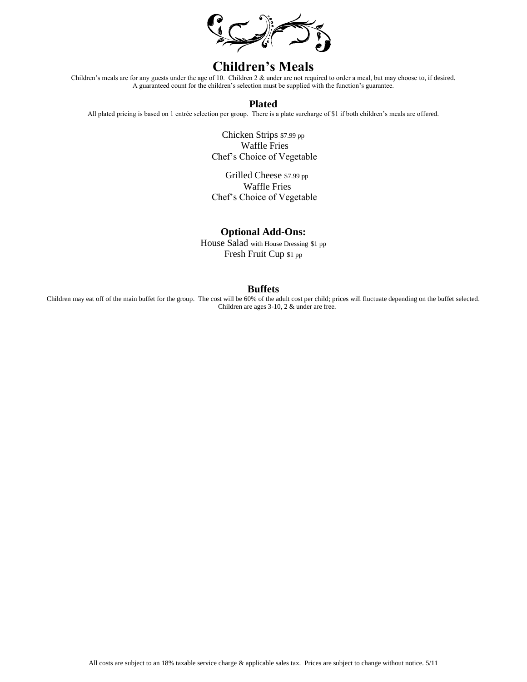

# **Children's Meals**

Children's meals are for any guests under the age of 10. Children 2 & under are not required to order a meal, but may choose to, if desired. A guaranteed count for the children's selection must be supplied with the function's guarantee.

### **Plated**

All plated pricing is based on 1 entrée selection per group. There is a plate surcharge of \$1 if both children's meals are offered.

 Chicken Strips \$7.99 pp Waffle Fries Chef's Choice of Vegetable

 Grilled Cheese \$7.99 pp Waffle Fries Chef's Choice of Vegetable

### **Optional Add-Ons:**

House Salad with House Dressing \$1 pp Fresh Fruit Cup \$1 pp

### **Buffets**

Children may eat off of the main buffet for the group. The cost will be 60% of the adult cost per child; prices will fluctuate depending on the buffet selected. Children are ages 3-10, 2 & under are free.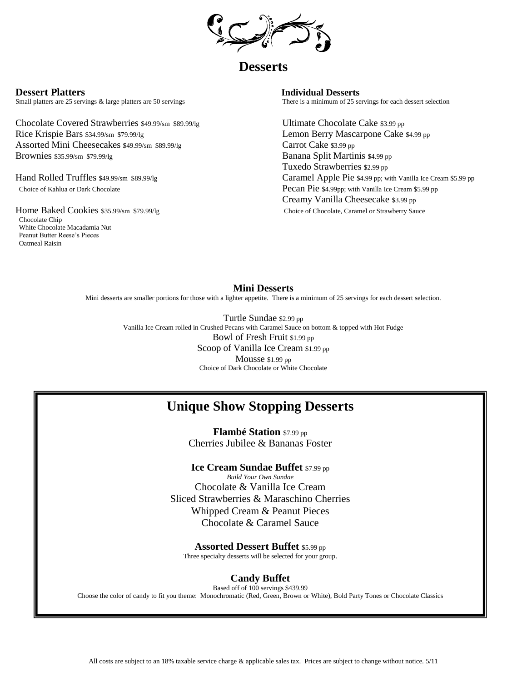

# **Desserts**

Small platters are 25 servings & large platters are 50 servings There is a minimum of 25 servings for each dessert selection

Chocolate Covered Strawberries \$49.99/sm \$89.99/lg Ultimate Chocolate Cake \$3.99 pp Rice Krispie Bars \$34.99/sm \$79.99/lg Lemon Berry Mascarpone Cake \$4.99 pp Assorted Mini Cheesecakes \$49.99/sm \$89.99/lg Carrot Cake \$3.99 pp Brownies \$35.99/sm \$79.99/lg Banana Split Martinis \$4.99 pp

 Chocolate Chip White Chocolate Macadamia Nut Peanut Butter Reese's Pieces Oatmeal Raisin

**Dessert Platters Individual Desserts**

 Tuxedo Strawberries \$2.99 pp Hand Rolled Truffles \$49.99/sm \$89.99/lg Caramel Apple Pie \$4.99 pp; with Vanilla Ice Cream \$5.99 pp Choice of Kahlua or Dark Chocolate **Pecan Pie** \$4.99pp; with Vanilla Ice Cream \$5.99 pp Creamy Vanilla Cheesecake \$3.99 pp Home Baked Cookies \$35.99/sm \$79.99/lg Choice of Chocolate, Caramel or Strawberry Sauce

### **Mini Desserts**

Mini desserts are smaller portions for those with a lighter appetite. There is a minimum of 25 servings for each dessert selection.

Turtle Sundae \$2.99 pp Vanilla Ice Cream rolled in Crushed Pecans with Caramel Sauce on bottom & topped with Hot Fudge Bowl of Fresh Fruit \$1.99 pp Scoop of Vanilla Ice Cream \$1.99 pp Mousse \$1.99 pp Choice of Dark Chocolate or White Chocolate

# **Unique Show Stopping Desserts**

**Flambé Station** \$7.99 pp Cherries Jubilee & Bananas Foster

**Ice Cream Sundae Buffet** \$7.99 pp *Build Your Own Sundae*  Chocolate & Vanilla Ice Cream Sliced Strawberries & Maraschino Cherries Whipped Cream & Peanut Pieces Chocolate & Caramel Sauce

**Assorted Dessert Buffet** \$5.99 pp Three specialty desserts will be selected for your group.

# **Candy Buffet**

Based off of 100 servings \$439.99 Choose the color of candy to fit you theme: Monochromatic (Red, Green, Brown or White), Bold Party Tones or Chocolate Classics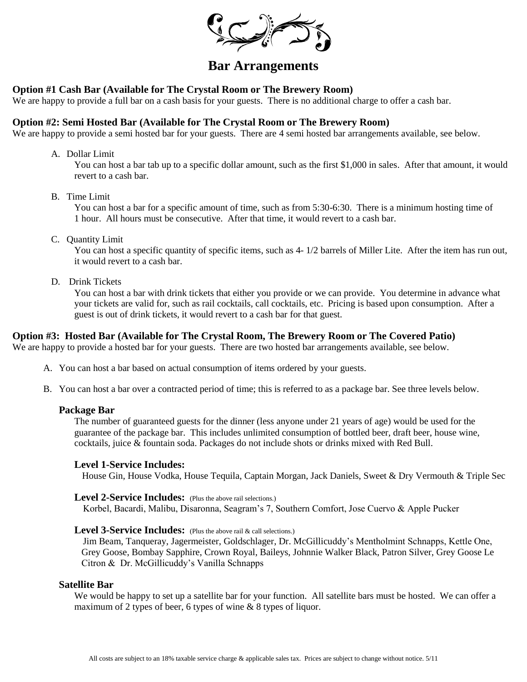

# **Bar Arrangements**

# **Option #1 Cash Bar (Available for The Crystal Room or The Brewery Room)**

We are happy to provide a full bar on a cash basis for your guests. There is no additional charge to offer a cash bar.

### **Option #2: Semi Hosted Bar (Available for The Crystal Room or The Brewery Room)**

We are happy to provide a semi hosted bar for your guests. There are 4 semi hosted bar arrangements available, see below.

A. Dollar Limit

You can host a bar tab up to a specific dollar amount, such as the first \$1,000 in sales. After that amount, it would revert to a cash bar.

B. Time Limit

You can host a bar for a specific amount of time, such as from 5:30-6:30. There is a minimum hosting time of 1 hour. All hours must be consecutive. After that time, it would revert to a cash bar.

C. Quantity Limit

You can host a specific quantity of specific items, such as  $4-1/2$  barrels of Miller Lite. After the item has run out, it would revert to a cash bar.

D. Drink Tickets

You can host a bar with drink tickets that either you provide or we can provide. You determine in advance what your tickets are valid for, such as rail cocktails, call cocktails, etc. Pricing is based upon consumption. After a guest is out of drink tickets, it would revert to a cash bar for that guest.

### **Option #3: Hosted Bar (Available for The Crystal Room, The Brewery Room or The Covered Patio)**

We are happy to provide a hosted bar for your guests. There are two hosted bar arrangements available, see below.

- A. You can host a bar based on actual consumption of items ordered by your guests.
- B. You can host a bar over a contracted period of time; this is referred to as a package bar. See three levels below.

#### **Package Bar**

The number of guaranteed guests for the dinner (less anyone under 21 years of age) would be used for the guarantee of the package bar. This includes unlimited consumption of bottled beer, draft beer, house wine, cocktails, juice & fountain soda. Packages do not include shots or drinks mixed with Red Bull.

#### **Level 1-Service Includes:**

House Gin, House Vodka, House Tequila, Captain Morgan, Jack Daniels, Sweet & Dry Vermouth & Triple Sec

### Level 2-Service Includes: (Plus the above rail selections.)

Korbel, Bacardi, Malibu, Disaronna, Seagram's 7, Southern Comfort, Jose Cuervo & Apple Pucker

### **Level 3-Service Includes:** (Plus the above rail & call selections.)

 Jim Beam, Tanqueray, Jagermeister, Goldschlager, Dr. McGillicuddy's Mentholmint Schnapps, Kettle One, Grey Goose, Bombay Sapphire, Crown Royal, Baileys, Johnnie Walker Black, Patron Silver, Grey Goose Le Citron & Dr. McGillicuddy's Vanilla Schnapps

#### **Satellite Bar**

We would be happy to set up a satellite bar for your function. All satellite bars must be hosted. We can offer a maximum of 2 types of beer, 6 types of wine & 8 types of liquor.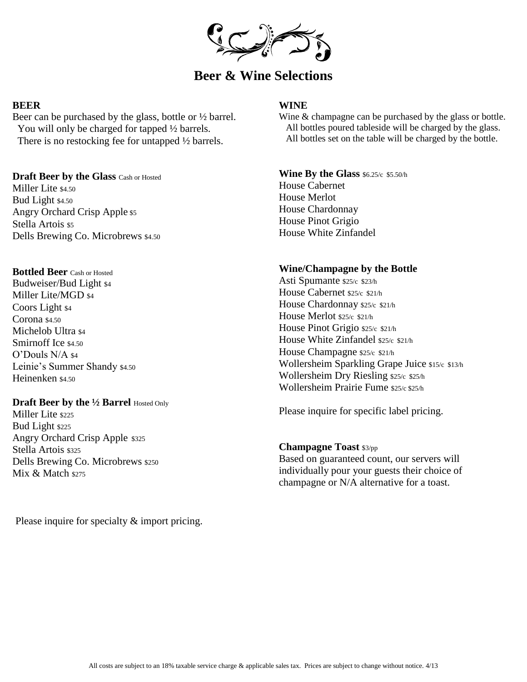

# **Beer & Wine Selections**

# **BEER**

Beer can be purchased by the glass, bottle or ½ barrel. You will only be charged for tapped  $\frac{1}{2}$  barrels. There is no restocking fee for untapped ½ barrels.

**Draft Beer by the Glass** Cash or Hosted Miller Lite \$4.50 Bud Light \$4.50 Angry Orchard Crisp Apple \$5 Stella Artois \$5 Dells Brewing Co. Microbrews \$4.50

### **Bottled Beer** Cash or Hosted

Budweiser/Bud Light \$4 Miller Lite/MGD \$4 Coors Light \$4  $Corona$  \$4.50 Michelob Ultra \$4 Smirnoff Ice \$4.50 O'Douls N/A \$4 Leinie's Summer Shandy \$4.50 Heinenken \$4.50

### **Draft Beer by the 1/2 Barrel Hosted Only**

Miller Lite \$225 Bud Light \$225 Angry Orchard Crisp Apple \$325 Stella Artois \$325 Dells Brewing Co. Microbrews \$250 Mix & Match \$275

Please inquire for specialty  $&$  import pricing.

# **WINE**

Wine & champagne can be purchased by the glass or bottle. All bottles poured tableside will be charged by the glass. All bottles set on the table will be charged by the bottle.

**Wine By the Glass** \$6.25/c \$5.50/h House Cabernet House Merlot House Chardonnay House Pinot Grigio House White Zinfandel

### **Wine/Champagne by the Bottle**

Asti Spumante \$25/c \$23/h House Cabernet \$25/c \$21/h House Chardonnay \$25/c \$21/h House Merlot \$25/c \$21/h House Pinot Grigio \$25/c \$21/h House White Zinfandel \$25/c \$21/h House Champagne \$25/c \$21/h Wollersheim Sparkling Grape Juice \$15/c \$13/h Wollersheim Dry Riesling \$25/c \$25/h Wollersheim Prairie Fume \$25/c \$25/h

Please inquire for specific label pricing.

### **Champagne Toast** \$3/pp

Based on guaranteed count, our servers will individually pour your guests their choice of champagne or N/A alternative for a toast.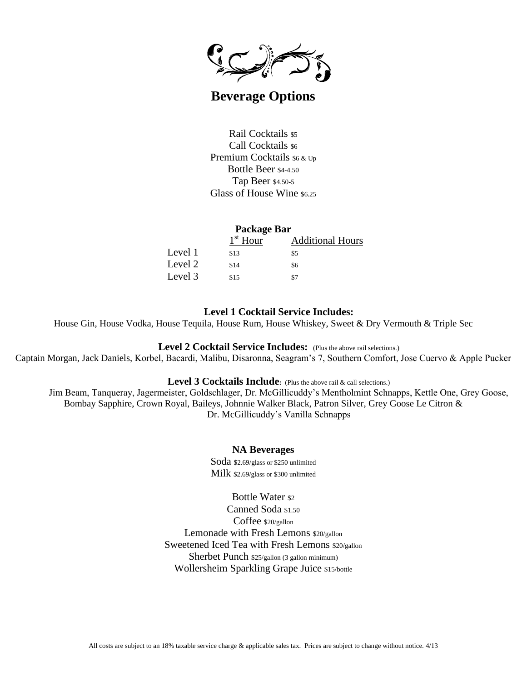

# **Beverage Options**

Rail Cocktails \$5 Call Cocktails  $$6$ Premium Cocktails  $$6 \& Up$ Bottle Beer \$4-4.50 Tap Beer \$4.50-5 Glass of House Wine \$6.25

### **Package Bar**

|         | $1st$ Hour | <b>Additional Hours</b> |
|---------|------------|-------------------------|
| Level 1 | \$13       | \$5                     |
| Level 2 | \$14       | \$6                     |
| Level 3 | \$15       | \$7                     |

# **Level 1 Cocktail Service Includes:**

House Gin, House Vodka, House Tequila, House Rum, House Whiskey, Sweet & Dry Vermouth & Triple Sec

### **Level 2 Cocktail Service Includes:** (Plus the above rail selections.)

Captain Morgan, Jack Daniels, Korbel, Bacardi, Malibu, Disaronna, Seagram's 7, Southern Comfort, Jose Cuervo & Apple Pucker

#### Level 3 Cocktails Include: (Plus the above rail & call selections.)

Jim Beam, Tanqueray, Jagermeister, Goldschlager, Dr. McGillicuddy's Mentholmint Schnapps, Kettle One, Grey Goose, Bombay Sapphire, Crown Royal, Baileys, Johnnie Walker Black, Patron Silver, Grey Goose Le Citron & Dr. McGillicuddy's Vanilla Schnapps

### **NA Beverages**

Soda \$2.69/glass or \$250 unlimited Milk \$2.69/glass or \$300 unlimited

Bottle Water \$2 Canned Soda \$1.50 Coffee \$20/gallon Lemonade with Fresh Lemons \$20/gallon Sweetened Iced Tea with Fresh Lemons \$20/gallon Sherbet Punch \$25/gallon (3 gallon minimum) Wollersheim Sparkling Grape Juice \$15/bottle